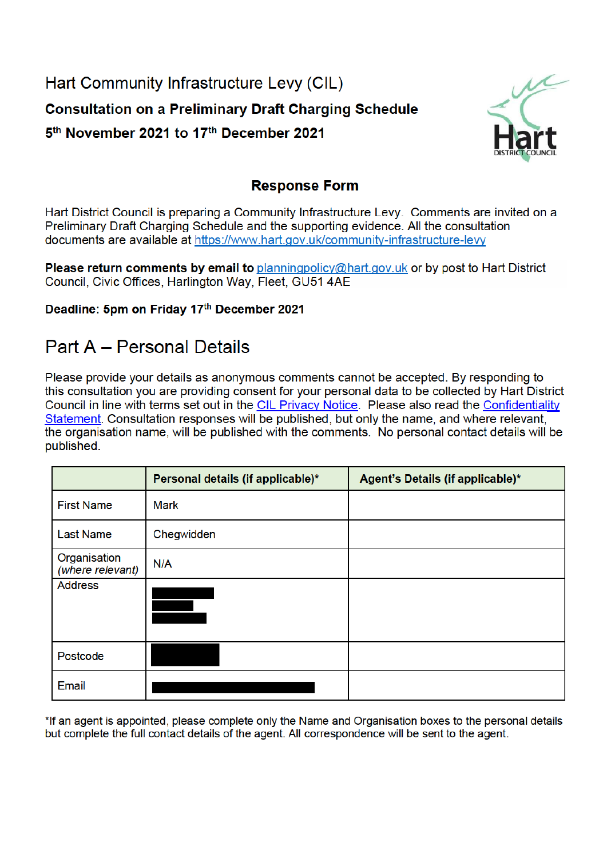# Hart Community Infrastructure Levy (CIL) **Consultation on a Preliminary Draft Charging Schedule** 5<sup>th</sup> November 2021 to 17<sup>th</sup> December 2021



### **Response Form**

Hart District Council is preparing a Community Infrastructure Levy. Comments are invited on a Preliminary Draft Charging Schedule and the supporting evidence. All the consultation documents are available at https://www.hart.gov.uk/community-infrastructure-levy

Please return comments by email to planningpolicy@hart.gov.uk or by post to Hart District Council, Civic Offices, Harlington Way, Fleet, GU51 4AE

#### Deadline: 5pm on Friday 17th December 2021

### Part A - Personal Details

Please provide your details as anonymous comments cannot be accepted. By responding to this consultation you are providing consent for your personal data to be collected by Hart District Council in line with terms set out in the CIL Privacy Notice. Please also read the Confidentiality Statement. Consultation responses will be published, but only the name, and where relevant, the organisation name, will be published with the comments. No personal contact details will be published.

|                                  | Personal details (if applicable)* | Agent's Details (if applicable)* |
|----------------------------------|-----------------------------------|----------------------------------|
| <b>First Name</b>                | <b>Mark</b>                       |                                  |
| <b>Last Name</b>                 | Chegwidden                        |                                  |
| Organisation<br>(where relevant) | N/A                               |                                  |
| <b>Address</b>                   |                                   |                                  |
| Postcode                         |                                   |                                  |
| Email                            |                                   |                                  |

\*If an agent is appointed, please complete only the Name and Organisation boxes to the personal details but complete the full contact details of the agent. All correspondence will be sent to the agent.